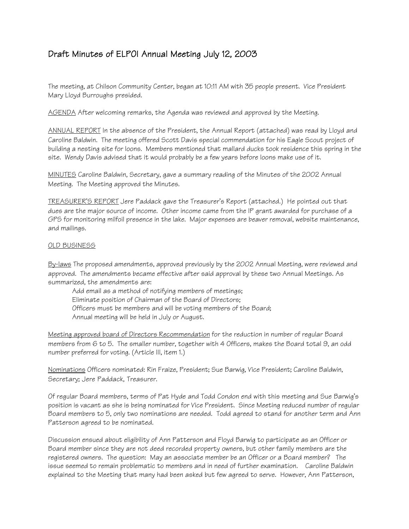# Draft Minutes of ELPOI Annual Meeting July 12, 2003

The meeting, at Chilson Community Center, began at 10:11 AM with 35 people present. Vice President Mary Lloyd Burroughs presided.

AGENDA After welcoming remarks, the Agenda was reviewed and approved by the Meeting.

ANNUAL REPORT In the absence of the President, the Annual Report (attached) was read by Lloyd and Caroline Baldwin. The meeting offered Scott Davis special commendation for his Eagle Scout project of building a nesting site for loons. Members mentioned that mallard ducks took residence this spring in the site. Wendy Davis advised that it would probably be a few years before loons make use of it.

MINUTES Caroline Baldwin, Secretary, gave a summary reading of the Minutes of the 2002 Annual Meeting. The Meeting approved the Minutes.

TREASURER'S REPORT Jere Paddack gave the Treasurer's Report (attached.) He pointed out that dues are the major source of income. Other income came from the IP grant awarded for purchase of a GPS for monitoring milfoil presence in the lake. Major expenses are beaver removal, website maintenance, and mailings.

## OLD BUSINESS

By-laws The proposed amendments, approved previously by the 2002 Annual Meeting, were reviewed and approved. The amendments became effective after said approval by these two Annual Meetings. As summarized, the amendments are:

Add email as a method of notifying members of meetings; Eliminate position of Chairman of the Board of Directors; Officers must be members and will be voting members of the Board; Annual meeting will be held in July or August.

Meeting approved board of Directors Recommendation for the reduction in number of regular Board members from 6 to 5. The smaller number, together with 4 Officers, makes the Board total 9, an odd number preferred for voting. (Article III, item 1.)

Nominations Officers nominated: Rin Fraize, President; Sue Barwig, Vice President; Caroline Baldwin, Secretary; Jere Paddack, Treasurer.

Of regular Board members, terms of Pat Hyde and Todd Condon end with this meeting and Sue Barwig's position is vacant as she is being nominated for Vice President. Since Meeting reduced number of regular Board members to 5, only two nominations are needed. Todd agreed to stand for another term and Ann Patterson agreed to be nominated.

Discussion ensued about eligibility of Ann Patterson and Floyd Barwig to participate as an Officer or Board member since they are not deed recorded property owners, but other family members are the registered owners. The question: May an associate member be an Officer or a Board member? The issue seemed to remain problematic to members and in need of further examination. Caroline Baldwin explained to the Meeting that many had been asked but few agreed to serve. However, Ann Patterson,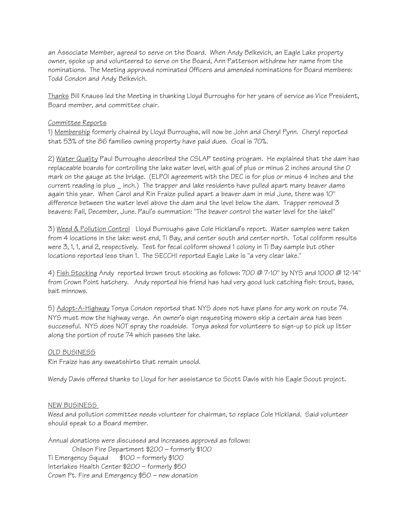an Associate Member, agreed to serve on the Board. When Andy Belkevich, an Eagle Lake property owner, spoke up and volunteered to serve on the Board, Ann Patterson withdrew her name from the nominations. The Meeting approved nominated Officers and amended nominations for Board members: Todd Condon and Andy Belkevich.

Thanks Bill Knauss led the Meeting in thanking Lloyd Burroughs for her years of service as Vice President, Board member, and committee chair.

## Committee Reports

1) Membership formerly chaired by Lloyd Burroughs, will now be John and Cheryl Pynn. Cheryl reported that 53% of the 86 families owning property have paid dues. Goal is 70%.

2) Water Quality Paul Burroughs described the CSLAP testing program. He explained that the dam has replaceable boards for controlling the lake water level, with goal of plus or minus 2 inches around the 0 mark on the gauge at the bridge. (ELPOI agreement with the DEC is for plus or minus 4 inches and the current reading is plus \_ inch.) The trapper and lake residents have pulled apart many beaver dams again this year. When Carol and Rin Fraize pulled apart a beaver dam in mid June, there was 10" difference between the water level above the dam and the level below the dam. Trapper removed 3 beavers: Fall, December, June. Paul's summation: "The beaver control the water level for the lake!"

3) Weed & Pollution Control Lloyd Burroughs gave Cole Hickland's report. Water samples were taken from 4 locations in the lake: west end, Ti Bay, and center south and center north. Total coliform results were 3, 1, 1, and 2, respectively. Test for fecal coliform showed 1 colony in Ti Bay sample but other locations reported less than 1. The SECCHI reported Eagle Lake is "a very clear lake."

4) Fish Stocking Andy reported brown trout stocking as follows: 700 @ 7-10" by NYS and 1000 @ 12-14" from Crown Point hatchery. Andy reported his friend has had very good luck catching fish: trout, bass, bait minnows.

5) Adopt-A-Highway Tonya Condon reported that NYS does not have plans for any work on route 74. NYS must mow the highway verge. An owner's sign requesting mowers skip a certain area has been successful. NYS does NOT spray the roadside. Tonya asked for volunteers to sign-up to pick up litter along the portion of route 74 which passes the lake.

### OLD BUSINESS

Rin Fraize has any sweatshirts that remain unsold.

Wendy Davis offered thanks to Lloyd for her assistance to Scott Davis with his Eagle Scout project.

### NEW BUSINESS

Weed and pollution committee needs volunteer for chairman, to replace Cole Hickland. Said volunteer should speak to a Board member.

Annual donations were discussed and increases approved as follows: Chilson Fire Department \$200 – formerly \$100 Ti Emergency Squad \$100 – formerly \$100 Interlakes Health Center \$200 – formerly \$50 Crown Pt. Fire and Emergency \$50 – new donation